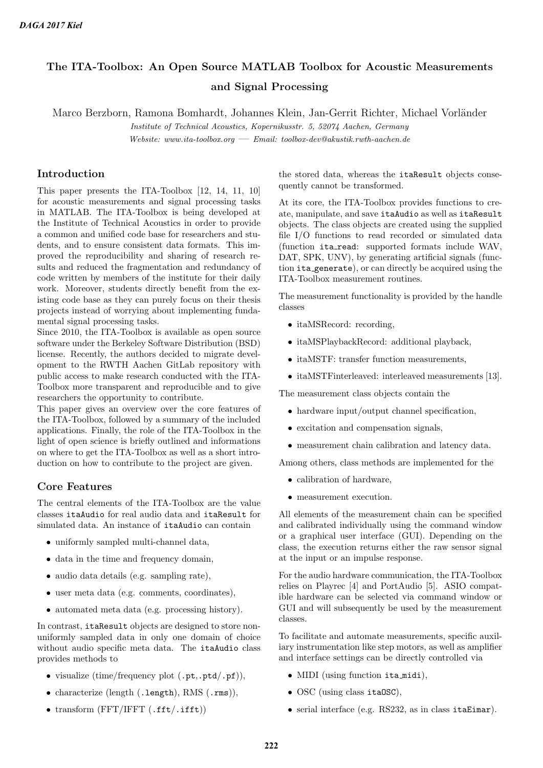# The ITA-Toolbox: An Open Source MATLAB Toolbox for Acoustic Measurements and Signal Processing

Marco Berzborn, Ramona Bomhardt, Johannes Klein, Jan-Gerrit Richter, Michael Vorländer

Institute of Technical Acoustics, Kopernikusstr. 5, 52074 Aachen, Germany  $\label{thm:2} We b site:~www.ita-toolbox.org \,\,\textcolor{blue}{\boldsymbol{--}}\,\, \textit{Email:~}\,\, too lbox-dev@akustik.ruth-aachen.de$ 

# Introduction

This paper presents the ITA-Toolbox [12, 14, 11, 10] for acoustic measurements and signal processing tasks in MATLAB. The ITA-Toolbox is being developed at the Institute of Technical Acoustics in order to provide a common and unified code base for researchers and students, and to ensure consistent data formats. This improved the reproducibility and sharing of research results and reduced the fragmentation and redundancy of code written by members of the institute for their daily work. Moreover, students directly benefit from the existing code base as they can purely focus on their thesis projects instead of worrying about implementing fundamental signal processing tasks.

Since 2010, the ITA-Toolbox is available as open source software under the Berkeley Software Distribution (BSD) license. Recently, the authors decided to migrate development to the RWTH Aachen GitLab repository with public access to make research conducted with the ITA-Toolbox more transparent and reproducible and to give researchers the opportunity to contribute.

This paper gives an overview over the core features of the ITA-Toolbox, followed by a summary of the included applications. Finally, the role of the ITA-Toolbox in the light of open science is briefly outlined and informations on where to get the ITA-Toolbox as well as a short introduction on how to contribute to the project are given.

# Core Features

The central elements of the ITA-Toolbox are the value classes itaAudio for real audio data and itaResult for simulated data. An instance of itaAudio can contain

- uniformly sampled multi-channel data,
- data in the time and frequency domain,
- audio data details (e.g. sampling rate),
- user meta data (e.g. comments, coordinates),
- automated meta data (e.g. processing history).

In contrast, itaResult objects are designed to store nonuniformly sampled data in only one domain of choice without audio specific meta data. The itaAudio class provides methods to

- visualize (time/frequency plot (.pt,.ptd/.pf)),
- characterize (length (.length), RMS (.rms)),
- transform (FFT/IFFT (.fft/.ifft))

the stored data, whereas the itaResult objects consequently cannot be transformed.

At its core, the ITA-Toolbox provides functions to create, manipulate, and save itaAudio as well as itaResult objects. The class objects are created using the supplied file I/O functions to read recorded or simulated data (function ita\_read: supported formats include WAV, DAT, SPK, UNV), by generating artificial signals (function ita generate), or can directly be acquired using the ITA-Toolbox measurement routines.

The measurement functionality is provided by the handle classes

- itaMSRecord: recording,
- itaMSPlaybackRecord: additional playback,
- itaMSTF: transfer function measurements,
- itaMSTFinterleaved: interleaved measurements [13].

The measurement class objects contain the

- hardware input/output channel specification,
- excitation and compensation signals,
- measurement chain calibration and latency data.

Among others, class methods are implemented for the

- calibration of hardware,
- measurement execution.

All elements of the measurement chain can be specified and calibrated individually using the command window or a graphical user interface (GUI). Depending on the class, the execution returns either the raw sensor signal at the input or an impulse response.

For the audio hardware communication, the ITA-Toolbox relies on Playrec [4] and PortAudio [5]. ASIO compatible hardware can be selected via command window or GUI and will subsequently be used by the measurement classes.

To facilitate and automate measurements, specific auxiliary instrumentation like step motors, as well as amplifier and interface settings can be directly controlled via

- MIDI (using function ita midi),
- OSC (using class itaOSC),
- serial interface (e.g. RS232, as in class itaEimar).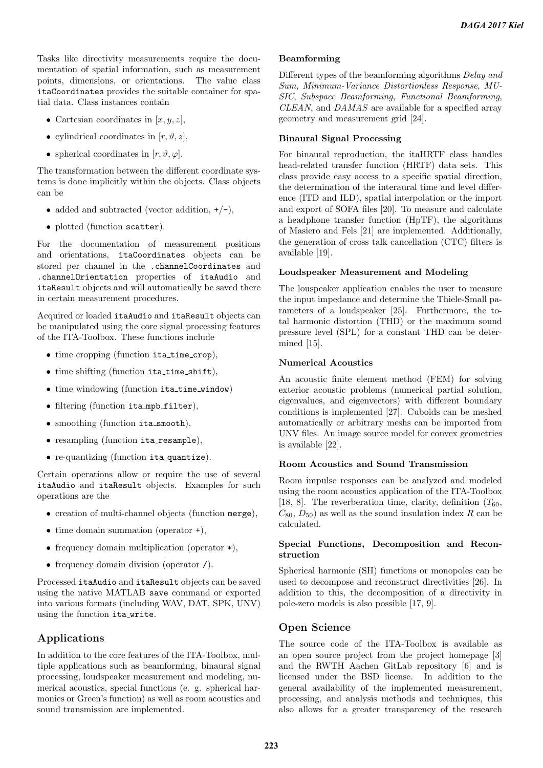Tasks like directivity measurements require the documentation of spatial information, such as measurement points, dimensions, or orientations. The value class itaCoordinates provides the suitable container for spatial data. Class instances contain

- Cartesian coordinates in  $[x, y, z]$ ,
- cylindrical coordinates in  $[r, \vartheta, z]$ ,
- spherical coordinates in  $[r, \vartheta, \varphi]$ .

The transformation between the different coordinate systems is done implicitly within the objects. Class objects can be

- added and subtracted (vector addition,  $+/-$ ),
- plotted (function scatter).

For the documentation of measurement positions and orientations, itaCoordinates objects can be stored per channel in the .channelCoordinates and .channelOrientation properties of itaAudio and itaResult objects and will automatically be saved there in certain measurement procedures.

Acquired or loaded itaAudio and itaResult objects can be manipulated using the core signal processing features of the ITA-Toolbox. These functions include

- time cropping (function ita\_time\_crop),
- time shifting (function ita\_time\_shift),
- time windowing (function ita\_time\_window)
- filtering (function ita\_mpb\_filter),
- smoothing (function ita\_smooth),
- resampling (function ita resample),
- re-quantizing (function ita quantize).

Certain operations allow or require the use of several itaAudio and itaResult objects. Examples for such operations are the

- creation of multi-channel objects (function merge),
- time domain summation (operator +),
- frequency domain multiplication (operator  $\ast$ ),
- frequency domain division (operator /).

Processed itaAudio and itaResult objects can be saved using the native MATLAB save command or exported into various formats (including WAV, DAT, SPK, UNV) using the function ita\_write.

# Applications

In addition to the core features of the ITA-Toolbox, multiple applications such as beamforming, binaural signal processing, loudspeaker measurement and modeling, numerical acoustics, special functions (e. g. spherical harmonics or Green's function) as well as room acoustics and sound transmission are implemented.

#### Beamforming

Different types of the beamforming algorithms Delay and Sum, Minimum-Variance Distortionless Response, MU-SIC, Subspace Beamforming, Functional Beamforming, CLEAN, and DAMAS are available for a specified array geometry and measurement grid [24].

### Binaural Signal Processing

For binaural reproduction, the itaHRTF class handles head-related transfer function (HRTF) data sets. This class provide easy access to a specific spatial direction, the determination of the interaural time and level difference (ITD and ILD), spatial interpolation or the import and export of SOFA files [20]. To measure and calculate a headphone transfer function (HpTF), the algorithms of Masiero and Fels [21] are implemented. Additionally, the generation of cross talk cancellation (CTC) filters is available [19].

#### Loudspeaker Measurement and Modeling

The louspeaker application enables the user to measure the input impedance and determine the Thiele-Small parameters of a loudspeaker [25]. Furthermore, the total harmonic distortion (THD) or the maximum sound pressure level (SPL) for a constant THD can be determined [15].

#### Numerical Acoustics

An acoustic finite element method (FEM) for solving exterior acoustic problems (numerical partial solution, eigenvalues, and eigenvectors) with different boundary conditions is implemented [27]. Cuboids can be meshed automatically or arbitrary meshs can be imported from UNV files. An image source model for convex geometries is available [22].

### Room Acoustics and Sound Transmission

Room impulse responses can be analyzed and modeled using the room acoustics application of the ITA-Toolbox [18, 8]. The reverberation time, clarity, definition  $(T_{60},$  $C_{80}$ ,  $D_{50}$ ) as well as the sound insulation index R can be calculated.

### Special Functions, Decomposition and Reconstruction

Spherical harmonic (SH) functions or monopoles can be used to decompose and reconstruct directivities [26]. In addition to this, the decomposition of a directivity in pole-zero models is also possible [17, 9].

### Open Science

The source code of the ITA-Toolbox is available as an open source project from the project homepage [3] and the RWTH Aachen GitLab repository [6] and is licensed under the BSD license. In addition to the general availability of the implemented measurement, processing, and analysis methods and techniques, this also allows for a greater transparency of the research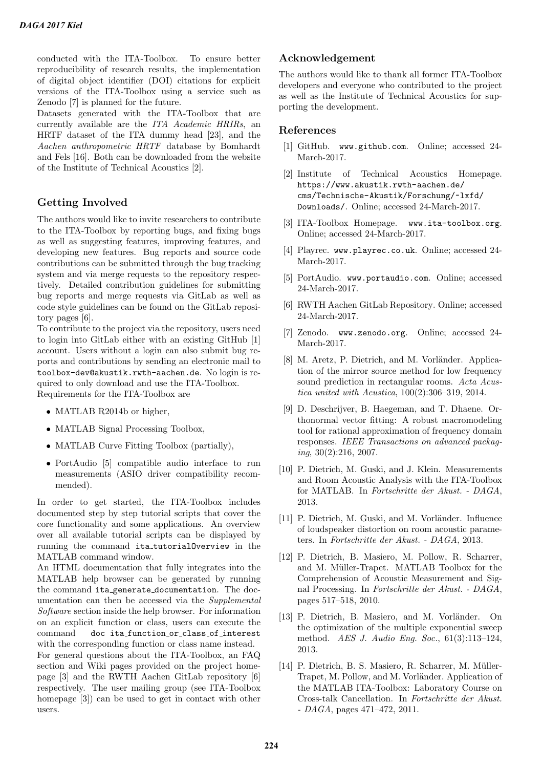conducted with the ITA-Toolbox. To ensure better reproducibility of research results, the implementation of digital object identifier (DOI) citations for explicit versions of the ITA-Toolbox using a service such as Zenodo [7] is planned for the future.

Datasets generated with the ITA-Toolbox that are currently available are the ITA Academic HRIRs, an HRTF dataset of the ITA dummy head [23], and the Aachen anthropometric HRTF database by Bomhardt and Fels [16]. Both can be downloaded from the website of the Institute of Technical Acoustics [2].

# Getting Involved

The authors would like to invite researchers to contribute to the ITA-Toolbox by reporting bugs, and fixing bugs as well as suggesting features, improving features, and developing new features. Bug reports and source code contributions can be submitted through the bug tracking system and via merge requests to the repository respectively. Detailed contribution guidelines for submitting bug reports and merge requests via GitLab as well as code style guidelines can be found on the GitLab repository pages [6].

To contribute to the project via the repository, users need to login into GitLab either with an existing GitHub [1] account. Users without a login can also submit bug reports and contributions by sending an electronic mail to toolbox-dev@akustik.rwth-aachen.de. No login is required to only download and use the ITA-Toolbox. Requirements for the ITA-Toolbox are

- MATLAB R2014b or higher,
- MATLAB Signal Processing Toolbox,
- MATLAB Curve Fitting Toolbox (partially),
- PortAudio [5] compatible audio interface to run measurements (ASIO driver compatibility recommended).

In order to get started, the ITA-Toolbox includes documented step by step tutorial scripts that cover the core functionality and some applications. An overview over all available tutorial scripts can be displayed by running the command ita\_tutorialOverview in the MATLAB command window.

An HTML documentation that fully integrates into the MATLAB help browser can be generated by running the command ita generate documentation. The documentation can then be accessed via the Supplemental Software section inside the help browser. For information on an explicit function or class, users can execute the command doc ita function or class of interest with the corresponding function or class name instead. For general questions about the ITA-Toolbox, an FAQ section and Wiki pages provided on the project homepage [3] and the RWTH Aachen GitLab repository [6] respectively. The user mailing group (see ITA-Toolbox

homepage [3]) can be used to get in contact with other

users.

## Acknowledgement

The authors would like to thank all former ITA-Toolbox developers and everyone who contributed to the project as well as the Institute of Technical Acoustics for supporting the development.

### References

- [1] GitHub. www.github.com. Online; accessed 24- March-2017.
- [2] Institute of Technical Acoustics Homepage. https://www.akustik.rwth-aachen.de/ cms/Technische-Akustik/Forschung/~lxfd/ Downloads/. Online; accessed 24-March-2017.
- [3] ITA-Toolbox Homepage. www.ita-toolbox.org. Online; accessed 24-March-2017.
- [4] Playrec. www.playrec.co.uk. Online; accessed 24-March-2017.
- [5] PortAudio. www.portaudio.com. Online; accessed 24-March-2017.
- [6] RWTH Aachen GitLab Repository. Online; accessed 24-March-2017.
- [7] Zenodo. www.zenodo.org. Online; accessed 24- March-2017.
- [8] M. Aretz, P. Dietrich, and M. Vorländer. Application of the mirror source method for low frequency sound prediction in rectangular rooms. Acta Acustica united with Acustica, 100(2):306–319, 2014.
- [9] D. Deschrijver, B. Haegeman, and T. Dhaene. Orthonormal vector fitting: A robust macromodeling tool for rational approximation of frequency domain responses. IEEE Transactions on advanced packaging, 30(2):216, 2007.
- [10] P. Dietrich, M. Guski, and J. Klein. Measurements and Room Acoustic Analysis with the ITA-Toolbox for MATLAB. In Fortschritte der Akust. - DAGA, 2013.
- [11] P. Dietrich, M. Guski, and M. Vorländer. Influence of loudspeaker distortion on room acoustic parameters. In Fortschritte der Akust. - DAGA, 2013.
- [12] P. Dietrich, B. Masiero, M. Pollow, R. Scharrer, and M. Müller-Trapet. MATLAB Toolbox for the Comprehension of Acoustic Measurement and Signal Processing. In Fortschritte der Akust. - DAGA, pages 517–518, 2010.
- [13] P. Dietrich, B. Masiero, and M. Vorländer. On the optimization of the multiple exponential sweep method. AES J. Audio Eng. Soc., 61(3):113–124, 2013.
- [14] P. Dietrich, B. S. Masiero, R. Scharrer, M. Müller-Trapet, M. Pollow, and M. Vorländer. Application of the MATLAB ITA-Toolbox: Laboratory Course on Cross-talk Cancellation. In Fortschritte der Akust. - DAGA, pages 471–472, 2011.